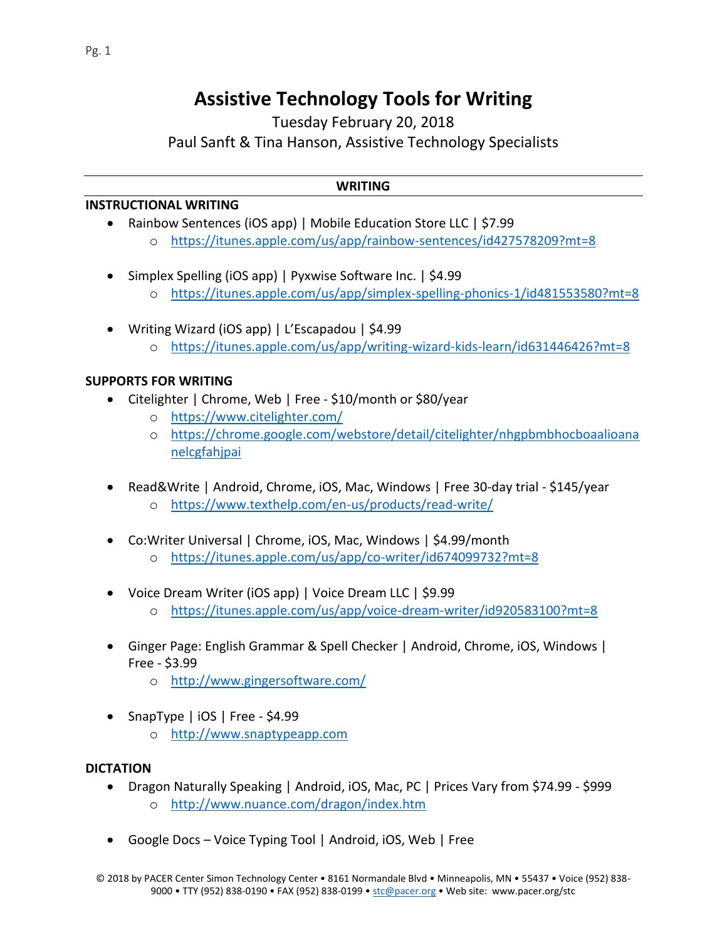# **Assistive Technology Tools for Writing**

Tuesday February 20, 2018 Paul Sanft & Tina Hanson, Assistive Technology Specialists

## **WRITING**

#### **INSTRUCTIONAL WRITING**

- Rainbow Sentences (iOS app) | Mobile Education Store LLC | \$7.99
	- o <https://itunes.apple.com/us/app/rainbow-sentences/id427578209?mt=8>
- Simplex Spelling (iOS app) | Pyxwise Software Inc. | \$4.99
	- o <https://itunes.apple.com/us/app/simplex-spelling-phonics-1/id481553580?mt=8>
- Writing Wizard (iOS app) | L'Escapadou | \$4.99 o <https://itunes.apple.com/us/app/writing-wizard-kids-learn/id631446426?mt=8>

## **SUPPORTS FOR WRITING**

- Citelighter | Chrome, Web | Free \$10/month or \$80/year
	- o <https://www.citelighter.com/>
	- o [https://chrome.google.com/webstore/detail/citelighter/nhgpbmbhocboaalioana](https://chrome.google.com/webstore/detail/citelighter/nhgpbmbhocboaalioananelcgfahjpai) [nelcgfahjpai](https://chrome.google.com/webstore/detail/citelighter/nhgpbmbhocboaalioananelcgfahjpai)
- Read&Write | Android, Chrome, iOS, Mac, Windows | Free 30-day trial \$145/year
	- o <https://www.texthelp.com/en-us/products/read-write/>
- Co:Writer Universal | Chrome, iOS, Mac, Windows | \$4.99/month
	- o <https://itunes.apple.com/us/app/co-writer/id674099732?mt=8>
- Voice Dream Writer (iOS app) | Voice Dream LLC | \$9.99
	- o <https://itunes.apple.com/us/app/voice-dream-writer/id920583100?mt=8>
- Ginger Page: English Grammar & Spell Checker | Android, Chrome, iOS, Windows | Free - \$3.99
	- o <http://www.gingersoftware.com/>
- SnapType | iOS | Free \$4.99
	- o [http://www.snaptypeapp.com](http://www.snaptypeapp.com/)

## **DICTATION**

- Dragon Naturally Speaking | Android, iOS, Mac, PC | Prices Vary from \$74.99 \$999 o <http://www.nuance.com/dragon/index.htm>
- Google Docs Voice Typing Tool | Android, iOS, Web | Free